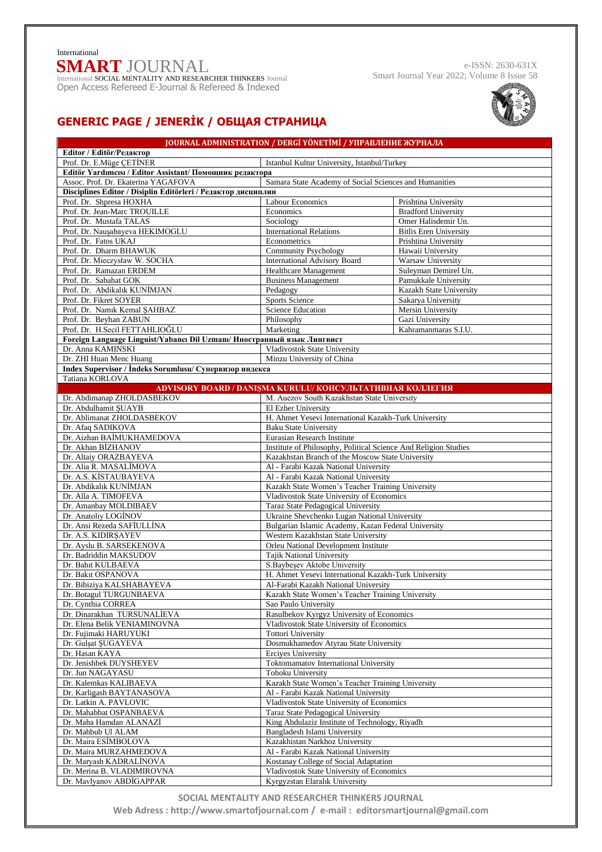## **SMART** JOURNAL International SOCIAL MENTALITY AND RESEARCHER THINKERS JournalInternational

Open Access Refereed E-Journal & Refereed & Indexed

e-ISSN: 2630-631X Smart Journal Year 2022; Volume 8 Issue 58



## **GENERIC PAGE / JENERİK / ОБЩАЯ СТРАНИЦА**

| JOURNAL ADMINISTRATION / DERGİ YÖNETİMİ / УПРАВЛЕНИЕ ЖУРНАЛА                                 |                                                                                              |                               |  |
|----------------------------------------------------------------------------------------------|----------------------------------------------------------------------------------------------|-------------------------------|--|
| Editor / Editör/Редактор                                                                     |                                                                                              |                               |  |
| Prof. Dr. E.Müge CETİNER<br>Istanbul Kultur University, Istanbul/Turkey                      |                                                                                              |                               |  |
| Editör Yardımcısı / Editor Assistant/ Помощник редактора                                     |                                                                                              |                               |  |
| Assoc. Prof. Dr. Ekaterina YAGAFOVA                                                          | Samara State Academy of Social Sciences and Humanities                                       |                               |  |
| Disciplines Editor / Disiplin Editörleri / Редактор дисциплин                                |                                                                                              |                               |  |
| Prof. Dr. Shpresa HOXHA                                                                      | Labour Economics                                                                             | Prishtina University          |  |
| Prof. Dr. Jean-Marc TROUILLE                                                                 | Economics                                                                                    | <b>Bradford University</b>    |  |
| Prof. Dr. Mustafa TALAS                                                                      | Sociology                                                                                    | Omer Halisdemir Un.           |  |
| Prof. Dr. Nauşabayeva HEKIMOGLU                                                              | <b>International Relations</b>                                                               | <b>Bitlis Eren University</b> |  |
| Prof. Dr. Fatos UKAJ                                                                         | Econometrics                                                                                 | Prishtina University          |  |
| Prof. Dr. Dharm BHAWUK                                                                       | <b>Community Psychology</b>                                                                  | Hawaii University             |  |
| Prof. Dr. Mieczysław W. SOCHA                                                                | <b>International Advisory Board</b>                                                          | Warsaw University             |  |
| Prof. Dr. Ramazan ERDEM                                                                      | <b>Healthcare Management</b>                                                                 | Suleyman Demirel Un.          |  |
| Prof. Dr. Sabahat GOK                                                                        | <b>Business Management</b>                                                                   | Pamukkale University          |  |
| Prof. Dr. Abdikalık KUNİMJAN                                                                 | Pedagogy                                                                                     | Kazakh State University       |  |
| Prof. Dr. Fikret SOYER                                                                       | Sports Science                                                                               | Sakarya University            |  |
| Prof. Dr. Namık Kemal SAHBAZ                                                                 | <b>Science Education</b>                                                                     | Mersin University             |  |
| Prof. Dr. Beyhan ZABUN                                                                       | Philosophy                                                                                   | Gazi University               |  |
| Prof. Dr. H.Secil FETTAHLIOGLU                                                               | Marketing                                                                                    | Kahramanmaras S.I.U.          |  |
| Foreign Language Linguist/Yabancı Dil Uzmanı/ Иностранный язык Лингвист<br>Dr. Anna KAMINSKI |                                                                                              |                               |  |
| Dr. ZHI Huan Menc Huang                                                                      | Vladivostok State University<br>Minzu University of China                                    |                               |  |
| Index Supervisor / Indeks Sorumlusu/ Супервизор индекса                                      |                                                                                              |                               |  |
| Tatiana KORLOVA                                                                              |                                                                                              |                               |  |
| ADVISORY BOARD / DANISMA KURULU/ КОНСУЛЬТАТИВНАЯ КОЛЛЕГИЯ                                    |                                                                                              |                               |  |
| Dr. Abdimanap ZHOLDASBEKOV                                                                   | M. Auezov South Kazakhstan State University                                                  |                               |  |
| Dr. Abdulhamit ŞUAYB                                                                         | El Ezher University                                                                          |                               |  |
| Dr. Ablimanat ZHOLDASBEKOV                                                                   | H. Ahmet Yesevi International Kazakh-Turk University                                         |                               |  |
| Dr. Afaq SADIKOVA                                                                            | <b>Baku State University</b>                                                                 |                               |  |
| Dr. Aizhan BAİMUKHAMEDOVA                                                                    | Eurasian Research Institute                                                                  |                               |  |
| Dr. Akhan BİZHANOV                                                                           | Institute of Philosophy, Political Science And Religion Studies                              |                               |  |
| Dr. Altaiy ORAZBAYEVA                                                                        | Kazakhstan Branch of the Moscow State University                                             |                               |  |
| Dr. Alia R. MASALİMOVA                                                                       | Al - Farabi Kazak National University                                                        |                               |  |
| Dr. A.S. KİSTAUBAYEVA                                                                        | Al - Farabi Kazak National University                                                        |                               |  |
| Dr. Abdikalık KUNİMJAN                                                                       | Kazakh State Women's Teacher Training University                                             |                               |  |
| Dr. Alla A. TIMOFEVA                                                                         | Vladivostok State University of Economics                                                    |                               |  |
| Dr. Amanbay MOLDIBAEV                                                                        | Taraz State Pedagogical University                                                           |                               |  |
| Dr. Anatoliy LOGİNOV                                                                         | Ukraine Shevchenko Lugan National University                                                 |                               |  |
| Dr. Ansi Rezeda SAFİULLİNA                                                                   | Bulgarian Islamic Academy, Kazan Federal University                                          |                               |  |
| Dr. A.S. KIDIRŞAYEV                                                                          | Western Kazakhstan State University                                                          |                               |  |
| Dr. Ayslu B. SARSEKENOVA                                                                     | Orleu National Development Institute                                                         |                               |  |
| Dr. Badriddin MAKSUDOV                                                                       | <b>Tajik National University</b>                                                             |                               |  |
| Dr. Bahıt KULBAEVA<br>Dr. Bakıt OSPANOVA                                                     | S. Baybesev Aktobe University                                                                |                               |  |
| Dr. Bibiziya KALSHABAYEVA                                                                    | H. Ahmet Yesevi International Kazakh-Turk University<br>Al-Farabi Kazakh National University |                               |  |
| Dr. Botagul TURGUNBAEVA                                                                      | Kazakh State Women's Teacher Training University                                             |                               |  |
| Dr. Cynthia CORREA                                                                           | Sao Paulo University                                                                         |                               |  |
| Dr. Dinarakhan TURSUNALİEVA                                                                  | Rasulbekov Kyrgyz University of Economics                                                    |                               |  |
| Dr. Elena Belik VENIAMINOVNA                                                                 | Vladivostok State University of Economics                                                    |                               |  |
| Dr. Fujimaki HARUYUKI                                                                        | <b>Tottori University</b>                                                                    |                               |  |
| Dr. Gulsat SUGAYEVA                                                                          | Dosmukhamedov Atyrau State University                                                        |                               |  |
| Dr. Hasan KAYA                                                                               | Erciyes University                                                                           |                               |  |
| Dr. Jenishbek DUYSHEYEV                                                                      | Toktomamatov International University                                                        |                               |  |
| Dr. Jun NAGAYASU                                                                             | Tohoku University                                                                            |                               |  |
| Dr. Kalemkas KALIBAEVA                                                                       | Kazakh State Women's Teacher Training University                                             |                               |  |
| Dr. Karligash BAYTANASOVA                                                                    | Al - Farabi Kazak National University                                                        |                               |  |
| Dr. Latkin A. PAVLOVIC                                                                       | Vladivostok State University of Economics                                                    |                               |  |
| Dr. Mahabbat OSPANBAEVA                                                                      | Taraz State Pedagogical University                                                           |                               |  |
| Dr. Maha Hamdan ALANAZİ                                                                      | King Abdulaziz Institute of Technology, Riyadh                                               |                               |  |
| Dr. Mahbub Ul ALAM                                                                           | Bangladesh Islami University                                                                 |                               |  |
| Dr. Maira ESİMBOLOVA                                                                         | Kazakhistan Narkhoz University                                                               |                               |  |
| Dr. Maira MURZAHMEDOVA                                                                       | Al - Farabi Kazak National University                                                        |                               |  |
| Dr. Maryash KADRALİNOVA                                                                      | Kostanay College of Social Adaptation                                                        |                               |  |
| Dr. Merina B. VLADIMIROVNA                                                                   | Vladivostok State University of Economics                                                    |                               |  |
| Dr. Mavlyanov ABDİGAPPAR                                                                     | Kyrgyzstan Elaralık University                                                               |                               |  |

**SOCIAL MENTALITY AND RESEARCHER THINKERS JOURNAL Web Adress : [http://www.smartofjournal.com](http://www.smartofjournal.com/) / e-mail : [editorsmartjournal@gmail.com](mailto:%20sssJournal.info@gmail.com)**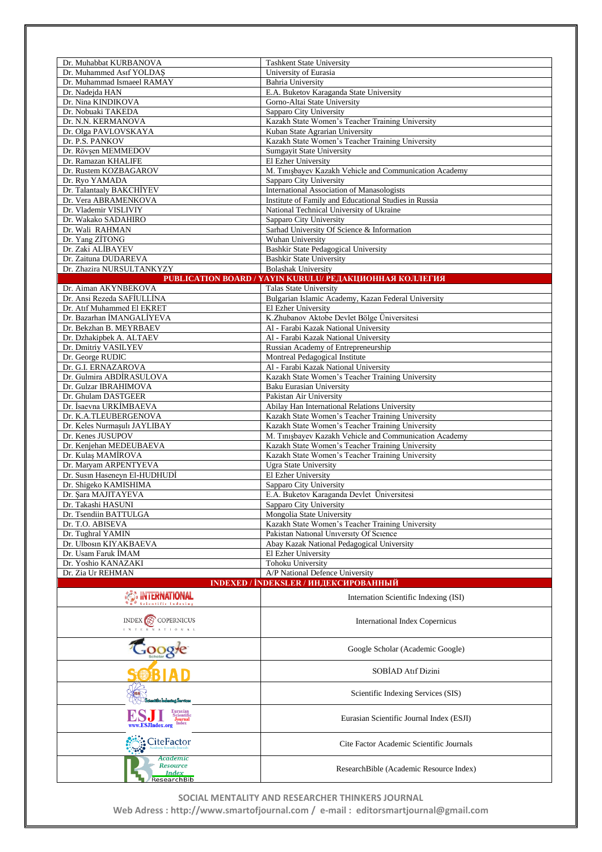| Dr. Muhabbat KURBANOVA                                            |                                                                                                   |  |
|-------------------------------------------------------------------|---------------------------------------------------------------------------------------------------|--|
| Dr. Muhammed Asıf YOLDAŞ                                          | <b>Tashkent State University</b><br>University of Eurasia                                         |  |
| Dr. Muhammad Ismaeel RAMAY                                        | <b>Bahria University</b>                                                                          |  |
| Dr. Nadejda HAN                                                   | E.A. Buketov Karaganda State University                                                           |  |
| Dr. Nina KINDIKOVA                                                | Gorno-Altai State University                                                                      |  |
| Dr. Nobuaki TAKEDA                                                | Sapparo City University                                                                           |  |
| Dr. N.N. KERMANOVA<br>Dr. Olga PAVLOVSKAYA                        | Kazakh State Women's Teacher Training University<br>Kuban State Agrarian University               |  |
| Dr. P.S. PANKOV                                                   | Kazakh State Women's Teacher Training University                                                  |  |
| Dr. Rövsen MEMMEDOV                                               | Sumgayit State University                                                                         |  |
| Dr. Ramazan KHALIFE                                               | El Ezher University                                                                               |  |
| Dr. Rustem KOZBAGAROV                                             | M. Tinişbayev Kazakh Vehicle and Communication Academy                                            |  |
| Dr. Ryo YAMADA                                                    | Sapparo City University<br>International Association of Manasologists                             |  |
| Dr. Talantaaly BAKCHIYEV<br>Dr. Vera ABRAMENKOVA                  | Institute of Family and Educational Studies in Russia                                             |  |
| Dr. Vlademir VISLIVIY                                             | National Technical University of Ukraine                                                          |  |
| Dr. Wakako SADAHIRO                                               | Sapparo City University                                                                           |  |
| Dr. Wali RAHMAN                                                   | Sarhad University Of Science & Information                                                        |  |
| Dr. Yang ZİTONG                                                   | Wuhan University                                                                                  |  |
| Dr. Zaki ALİBAYEV                                                 | Bashkir State Pedagogical University<br><b>Bashkir State University</b>                           |  |
| Dr. Zaituna DUDAREVA<br>Dr. Zhazira NURSULTANKYZY                 | <b>Bolashak University</b>                                                                        |  |
| PUBLICATION BOARD / YAYIN KURULU/ РЕДАКЦИОННАЯ КОЛЛЕГИЯ           |                                                                                                   |  |
| Dr. Aiman AKYNBEKOVA                                              | <b>Talas State University</b>                                                                     |  |
| Dr. Ansi Rezeda SAFİULLİNA                                        | Bulgarian Islamic Academy, Kazan Federal University                                               |  |
| Dr. Atıf Muhammed El EKRET                                        | El Ezher University                                                                               |  |
| Dr. Bazarhan İMANGALİYEVA                                         | K.Zhubanov Aktobe Devlet Bölge Üniversitesi                                                       |  |
| Dr. Bekzhan B. MEYRBAEV<br>Dr. Dzhakipbek A. ALTAEV               | Al - Farabi Kazak National University<br>Al - Farabi Kazak National University                    |  |
| Dr. Dmitriy VASILYEV                                              | Russian Academy of Entrepreneurship                                                               |  |
| Dr. George RUDIC                                                  | Montreal Pedagogical Institute                                                                    |  |
| Dr. G.I. ERNAZAROVA                                               | Al - Farabi Kazak National University                                                             |  |
| Dr. Gulmira ABDİRASULOVA                                          | Kazakh State Women's Teacher Training University                                                  |  |
| Dr. Gulzar IBRAHIMOVA                                             | Baku Eurasian University                                                                          |  |
| Dr. Ghulam DASTGEER<br>Dr. Isaevna URKIMBAEVA                     | Pakistan Air University                                                                           |  |
| Dr. K.A.TLEUBERGENOVA                                             | Abilay Han International Relations University<br>Kazakh State Women's Teacher Training University |  |
| Dr. Keles Nurmaşulı JAYLIBAY                                      | Kazakh State Women's Teacher Training University                                                  |  |
| Dr. Kenes JUSUPOV                                                 | M. Tinisbayev Kazakh Vehicle and Communication Academy                                            |  |
| Dr. Keniehan MEDEUBAEVA                                           | Kazakh State Women's Teacher Training University                                                  |  |
| Dr. Kulaş MAMİROVA                                                | Kazakh State Women's Teacher Training University                                                  |  |
| Dr. Maryam ARPENTYEVA                                             | Ugra State University                                                                             |  |
| Dr. Susin Haseneyn El-HUDHUDİ<br>Dr. Shigeko KAMISHIMA            | El Ezher University<br>Sapparo City University                                                    |  |
| Dr. Sara MAJITAYEVA                                               | E.A. Buketov Karaganda Devlet Üniversitesi                                                        |  |
| Dr. Takashi HASUNI                                                | Sapparo City University                                                                           |  |
| Dr. Tsendiin BATTULGA                                             | Mongolia State University                                                                         |  |
| Dr. T.O. ABISEVA                                                  | Kazakh State Women's Teacher Training University                                                  |  |
| Dr. Tughral YAMIN<br>Dr. Ulbosin KIYAKBAEVA                       | Pakistan National University Of Science                                                           |  |
| Dr. Usam Faruk İMAM                                               | Abay Kazak National Pedagogical University<br>El Ezher University                                 |  |
| Dr. Yoshio KANAZAKI                                               | <b>Tohoku University</b>                                                                          |  |
| Dr. Zia Ur REHMAN                                                 | A/P National Defence University                                                                   |  |
| INDEXED / İNDEKSLER / ИНДЕКСИРОВАННЫЙ                             |                                                                                                   |  |
| <b>A HILRNATIONAL</b><br>Scientific Indexi                        | Internation Scientific Indexing (ISI)                                                             |  |
| COPERNICUS                                                        | <b>International Index Copernicus</b>                                                             |  |
|                                                                   | Google Scholar (Academic Google)                                                                  |  |
|                                                                   | SOBİAD Atıf Dizini                                                                                |  |
|                                                                   | Scientific Indexing Services (SIS)                                                                |  |
| Eurasian<br>Scientific<br>Journal<br>Index<br><b>ESJIndex.org</b> | Eurasian Scientific Journal Index (ESJI)                                                          |  |
| CiteFactor                                                        | Cite Factor Academic Scientific Journals                                                          |  |
| Academic<br><b>Resource</b><br><b>Index</b><br>ResearchBib        | ResearchBible (Academic Resource Index)                                                           |  |

**SOCIAL MENTALITY AND RESEARCHER THINKERS JOURNAL** 

**Web Adress : [http://www.smartofjournal.com](http://www.smartofjournal.com/) / e-mail : [editorsmartjournal@gmail.com](mailto:%20sssJournal.info@gmail.com)**